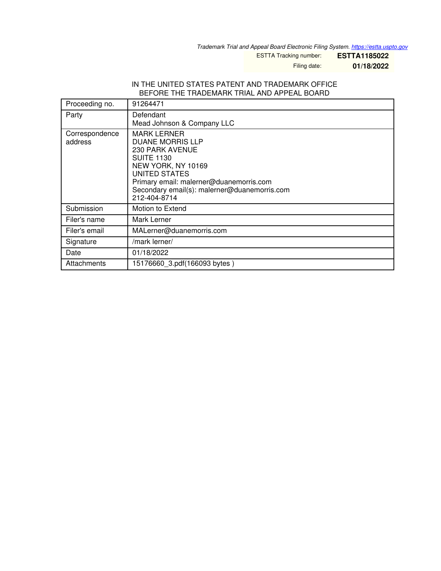*Trademark Trial and Appeal Board Electronic Filing System. <https://estta.uspto.gov>*

ESTTA Tracking number: **ESTTA1185022**

Filing date: **01/18/2022**

### IN THE UNITED STATES PATENT AND TRADEMARK OFFICE BEFORE THE TRADEMARK TRIAL AND APPEAL BOARD

| Proceeding no.            | 91264471                                                                                                                                                                                                                                       |
|---------------------------|------------------------------------------------------------------------------------------------------------------------------------------------------------------------------------------------------------------------------------------------|
| Party                     | Defendant<br>Mead Johnson & Company LLC                                                                                                                                                                                                        |
| Correspondence<br>address | <b>MARK LERNER</b><br><b>DUANE MORRIS LLP</b><br><b>230 PARK AVENUE</b><br><b>SUITE 1130</b><br>NEW YORK, NY 10169<br>UNITED STATES<br>Primary email: malerner@duanemorris.com<br>Secondary email(s): malerner@duanemorris.com<br>212-404-8714 |
| Submission                | Motion to Extend                                                                                                                                                                                                                               |
| Filer's name              | Mark Lerner                                                                                                                                                                                                                                    |
| Filer's email             | MALerner@duanemorris.com                                                                                                                                                                                                                       |
| Signature                 | /mark lerner/                                                                                                                                                                                                                                  |
| Date                      | 01/18/2022                                                                                                                                                                                                                                     |
| Attachments               | 15176660 3.pdf(166093 bytes)                                                                                                                                                                                                                   |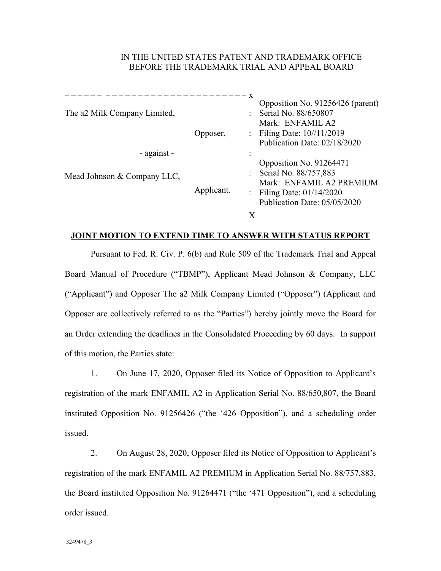# IN THE UNITED STATES PATENT AND TRADEMARK OFFICE BEFORE THE TRADEMARK TRIAL AND APPEAL BOARD

| The a2 Milk Company Limited,               | Opposer,   | X | Opposition No. 91256426 (parent)<br>Serial No. 88/650807<br>Mark: ENFAMIL A2<br>: Filing Date: $10^{1/1/2019}$<br>Publication Date: 02/18/2020 |
|--------------------------------------------|------------|---|------------------------------------------------------------------------------------------------------------------------------------------------|
| - against -<br>Mead Johnson & Company LLC, |            |   | Opposition No. 91264471<br>: Serial No. 88/757,883                                                                                             |
|                                            | Applicant. |   | Mark: ENFAMIL A2 PREMIUM<br>: Filing Date: $01/14/2020$<br>Publication Date: 05/05/2020                                                        |
|                                            |            |   |                                                                                                                                                |

# **JOINT MOTION TO EXTEND TIME TO ANSWER WITH STATUS REPORT**

Pursuant to Fed. R. Civ. P. 6(b) and Rule 509 of the Trademark Trial and Appeal Board Manual of Procedure ("TBMP"), Applicant Mead Johnson & Company, LLC ("Applicant") and Opposer The a2 Milk Company Limited ("Opposer") (Applicant and Opposer are collectively referred to as the "Parties") hereby jointly move the Board for an Order extending the deadlines in the Consolidated Proceeding by 60 days. In support of this motion, the Parties state:

1. On June 17, 2020, Opposer filed its Notice of Opposition to Applicant's registration of the mark ENFAMIL A2 in Application Serial No. 88/650,807, the Board instituted Opposition No. 91256426 ("the '426 Opposition"), and a scheduling order issued.

2. On August 28, 2020, Opposer filed its Notice of Opposition to Applicant's registration of the mark ENFAMIL A2 PREMIUM in Application Serial No. 88/757,883, the Board instituted Opposition No. 91264471 ("the '471 Opposition"), and a scheduling order issued.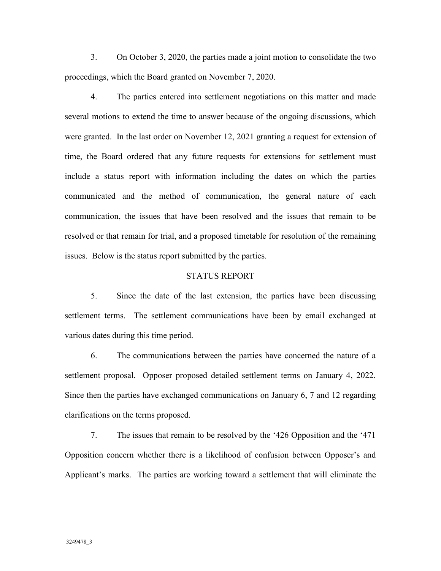3. On October 3, 2020, the parties made a joint motion to consolidate the two proceedings, which the Board granted on November 7, 2020.

4. The parties entered into settlement negotiations on this matter and made several motions to extend the time to answer because of the ongoing discussions, which were granted. In the last order on November 12, 2021 granting a request for extension of time, the Board ordered that any future requests for extensions for settlement must include a status report with information including the dates on which the parties communicated and the method of communication, the general nature of each communication, the issues that have been resolved and the issues that remain to be resolved or that remain for trial, and a proposed timetable for resolution of the remaining issues. Below is the status report submitted by the parties.

#### STATUS REPORT

5. Since the date of the last extension, the parties have been discussing settlement terms. The settlement communications have been by email exchanged at various dates during this time period.

6. The communications between the parties have concerned the nature of a settlement proposal. Opposer proposed detailed settlement terms on January 4, 2022. Since then the parties have exchanged communications on January 6, 7 and 12 regarding clarifications on the terms proposed.

7. The issues that remain to be resolved by the '426 Opposition and the '471 Opposition concern whether there is a likelihood of confusion between Opposer's and Applicant's marks. The parties are working toward a settlement that will eliminate the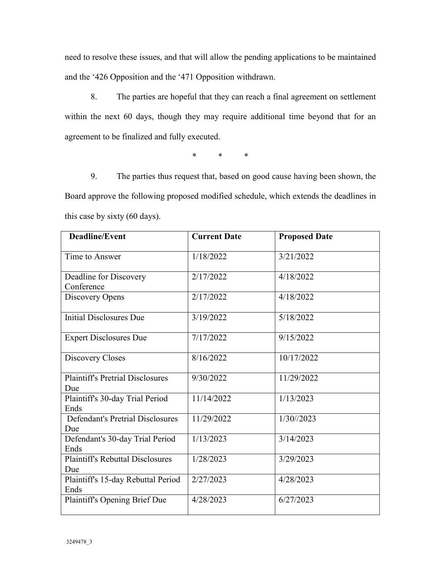need to resolve these issues, and that will allow the pending applications to be maintained and the '426 Opposition and the '471 Opposition withdrawn.

8. The parties are hopeful that they can reach a final agreement on settlement within the next 60 days, though they may require additional time beyond that for an agreement to be finalized and fully executed.

\* \* \*

9. The parties thus request that, based on good cause having been shown, the Board approve the following proposed modified schedule, which extends the deadlines in this case by sixty (60 days).

| <b>Deadline/Event</b>                          | <b>Current Date</b> | <b>Proposed Date</b> |
|------------------------------------------------|---------------------|----------------------|
| Time to Answer                                 | 1/18/2022           | 3/21/2022            |
| Deadline for Discovery<br>Conference           | 2/17/2022           | 4/18/2022            |
| Discovery Opens                                | 2/17/2022           | 4/18/2022            |
| <b>Initial Disclosures Due</b>                 | 3/19/2022           | 5/18/2022            |
| <b>Expert Disclosures Due</b>                  | 7/17/2022           | 9/15/2022            |
| Discovery Closes                               | 8/16/2022           | 10/17/2022           |
| <b>Plaintiff's Pretrial Disclosures</b><br>Due | 9/30/2022           | 11/29/2022           |
| Plaintiff's 30-day Trial Period<br>Ends        | 11/14/2022          | 1/13/2023            |
| <b>Defendant's Pretrial Disclosures</b><br>Due | 11/29/2022          | 1/30/2023            |
| Defendant's 30-day Trial Period<br>Ends        | 1/13/2023           | 3/14/2023            |
| <b>Plaintiff's Rebuttal Disclosures</b><br>Due | 1/28/2023           | 3/29/2023            |
| Plaintiff's 15-day Rebuttal Period<br>Ends     | 2/27/2023           | 4/28/2023            |
| Plaintiff's Opening Brief Due                  | 4/28/2023           | 6/27/2023            |